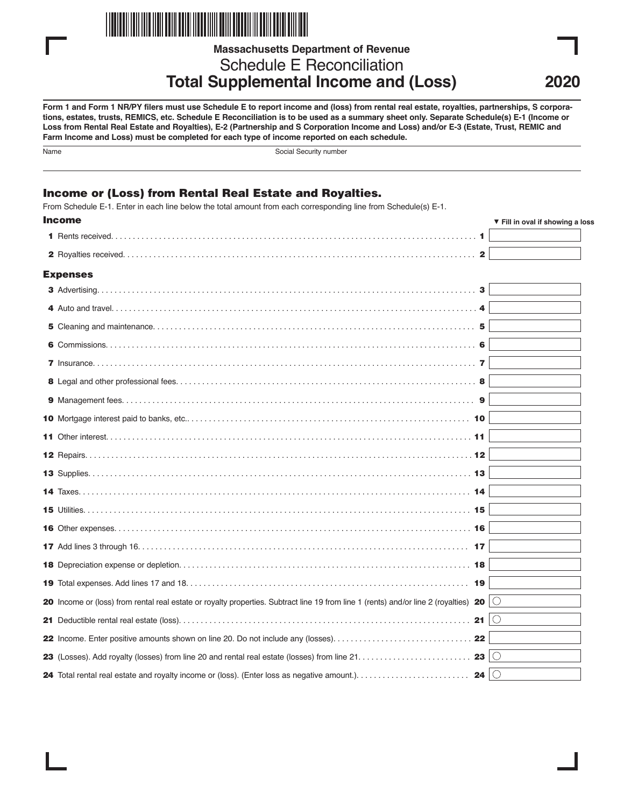

**Massachusetts Department of Revenue**

Schedule E Reconciliation **Total Supplemental Income and (Loss)**

**Form 1 and Form 1 NR/PY filers must use Schedule E to report income and (loss) from rental real estate, royalties, partnerships, S corporations, estates, trusts, REMICS, etc. Schedule E Reconciliation is to be used as a summary sheet only. Separate Schedule(s) E-1 (Income or Loss from Rental Real Estate and Royalties), E-2 (Partnership and S Corporation Income and Loss) and/or E-3 (Estate, Trust, REMIC and Farm Income and Loss) must be completed for each type of income reported on each schedule.**

| ×<br>×<br>I<br>P.<br>. . |
|--------------------------|
|                          |

Social Security number

# Income or (Loss) from Rental Real Estate and Royalties.

From Schedule E-1. Enter in each line below the total amount from each corresponding line from Schedule(s) E-1.

| <b>Income</b>                                                                                                                                    | ▼ Fill in oval if showing a loss |
|--------------------------------------------------------------------------------------------------------------------------------------------------|----------------------------------|
|                                                                                                                                                  |                                  |
| $\mathbf{2}$                                                                                                                                     |                                  |
| <b>Expenses</b>                                                                                                                                  |                                  |
| 3                                                                                                                                                |                                  |
|                                                                                                                                                  |                                  |
|                                                                                                                                                  |                                  |
|                                                                                                                                                  |                                  |
|                                                                                                                                                  |                                  |
|                                                                                                                                                  |                                  |
|                                                                                                                                                  |                                  |
|                                                                                                                                                  |                                  |
|                                                                                                                                                  |                                  |
|                                                                                                                                                  |                                  |
|                                                                                                                                                  |                                  |
|                                                                                                                                                  |                                  |
|                                                                                                                                                  |                                  |
|                                                                                                                                                  |                                  |
|                                                                                                                                                  |                                  |
|                                                                                                                                                  |                                  |
|                                                                                                                                                  |                                  |
| 20 Income or (loss) from rental real estate or royalty properties. Subtract line 19 from line 1 (rents) and/or line 2 (royalties) 20 $ \bigcirc$ |                                  |
|                                                                                                                                                  |                                  |
|                                                                                                                                                  |                                  |
| 23 $\circ$                                                                                                                                       |                                  |
| 24 $\circ$                                                                                                                                       |                                  |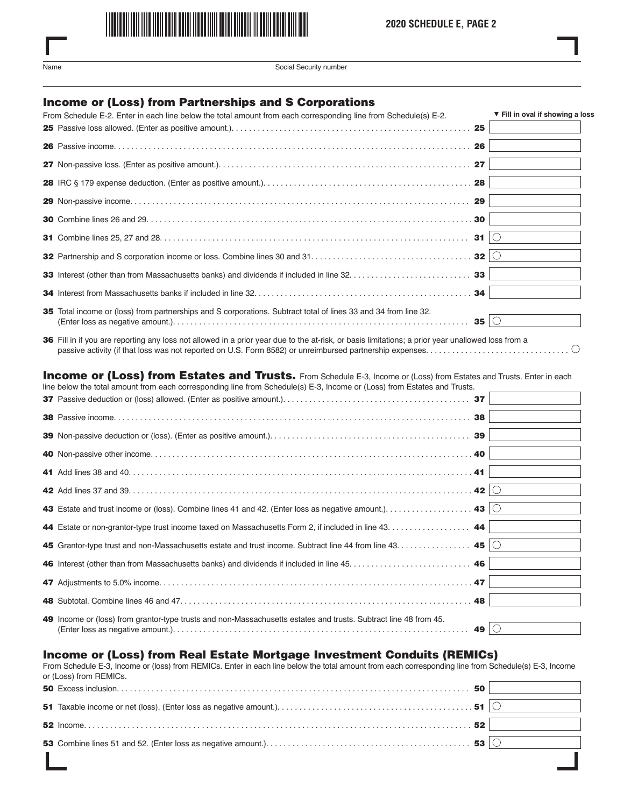

| ×<br>۰.<br>. .<br>. |
|---------------------|
|---------------------|

Social Security number

## Income or (Loss) from Partnerships and S Corporations

| From Schedule E-2. Enter in each line below the total amount from each corresponding line from Schedule(s) E-2. | ▼ Fill in oval if showing a loss |
|-----------------------------------------------------------------------------------------------------------------|----------------------------------|
|                                                                                                                 |                                  |
|                                                                                                                 |                                  |
|                                                                                                                 |                                  |
|                                                                                                                 |                                  |
|                                                                                                                 |                                  |
|                                                                                                                 |                                  |
|                                                                                                                 |                                  |
|                                                                                                                 |                                  |
|                                                                                                                 |                                  |
|                                                                                                                 |                                  |
| 35 Total income or (loss) from partnerships and S corporations. Subtract total of lines 33 and 34 from line 32. |                                  |

36 Fill in if you are reporting any loss not allowed in a prior year due to the at-risk, or basis limitations; a prior year unallowed loss from a passive activity (if that loss was not reported on U.S. Form 8582) or unreimbursed partnership expenses. . . . . . . . . . . . . . . . . . . . . . . . . . . . . . . . .

#### Income or (Loss) from Estates and Trusts. From Schedule E-3, Income or (Loss) from Estates and Trusts. Enter in each line below the total amount from each corresponding line from Schedule(s) E-3, Income or (Loss) from Estates and Trusts.

| $m \sim N$ bolon and total amount non-capit conceptinging into non-conceale(e) $\sqsubset$ 0, moonic or ( $\sqsubset$ 000) non- $\sqsubset$ 014100 and muoto. |    |  |
|---------------------------------------------------------------------------------------------------------------------------------------------------------------|----|--|
|                                                                                                                                                               |    |  |
|                                                                                                                                                               | 38 |  |
|                                                                                                                                                               |    |  |
|                                                                                                                                                               |    |  |
|                                                                                                                                                               |    |  |
|                                                                                                                                                               |    |  |
|                                                                                                                                                               |    |  |
| 44 Estate or non-grantor-type trust income taxed on Massachusetts Form 2, if included in line 43. 44                                                          |    |  |
| 45 Grantor-type trust and non-Massachusetts estate and trust income. Subtract line 44 from line 43. 45   $\circ$                                              |    |  |
|                                                                                                                                                               |    |  |
|                                                                                                                                                               |    |  |
|                                                                                                                                                               |    |  |
| 49 Income or (loss) from grantor-type trusts and non-Massachusetts estates and trusts. Subtract line 48 from 45.                                              |    |  |

## Income or (Loss) from Real Estate Mortgage Investment Conduits (REMICs)

From Schedule E-3, Income or (loss) from REMICs. Enter in each line below the total amount from each corresponding line from Schedule(s) E-3, Income or (Loss) from REMICs.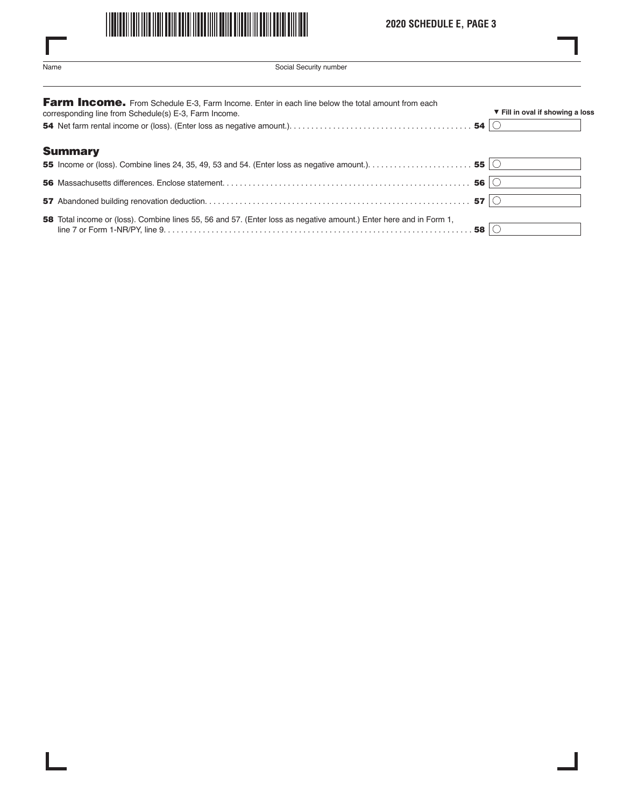

# **2020 SCHEDULE E, PAGE 3**

L

| ×<br>٧<br>. .<br>×<br>P. |  |
|--------------------------|--|

 $\overline{\phantom{a}}$ 

Social Security number

| Farm Income. From Schedule E-3, Farm Income. Enter in each line below the total amount from each<br>corresponding line from Schedule(s) E-3, Farm Income. | ▼ Fill in oval if showing a loss |
|-----------------------------------------------------------------------------------------------------------------------------------------------------------|----------------------------------|
|                                                                                                                                                           |                                  |
| <b>Summary</b>                                                                                                                                            |                                  |
|                                                                                                                                                           |                                  |
|                                                                                                                                                           |                                  |
|                                                                                                                                                           |                                  |
| 58 Total income or (loss). Combine lines 55, 56 and 57. (Enter loss as negative amount.) Enter here and in Form 1,                                        |                                  |